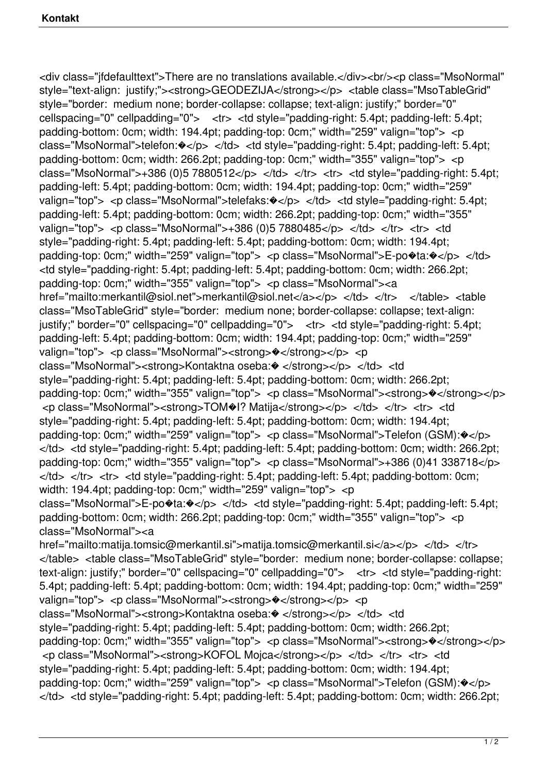<div class="jfdefaulttext">There are no translations available.</div><br/><p class="MsoNormal" style="text-align: justify;"><strong>GEODEZIJA</strong></p> <table class="MsoTableGrid" style="border: medium none; border-collapse: collapse; text-align: justify;" border="0" cellspacing="0" cellpadding="0"> <tr> <td style="padding-right: 5.4pt; padding-left: 5.4pt; padding-bottom: 0cm; width: 194.4pt; padding-top: 0cm;" width="259" valign="top"> <p class="MsoNormal">telefon: $\Diamond$ </p> </td> <td style="padding-right: 5.4pt; padding-left: 5.4pt; padding-bottom: 0cm; width: 266.2pt; padding-top: 0cm;" width="355" valign="top"> <p class="MsoNormal">+386 (0)5 7880512</p> </td> </tr> <tr> <td style="padding-right: 5.4pt; padding-left: 5.4pt; padding-bottom: 0cm; width: 194.4pt; padding-top: 0cm;" width="259" valign="top"> <p class="MsoNormal">telefaks: $\hat{\mathbf{v}}$ </p> </td> <td style="padding-right: 5.4pt; padding-left: 5.4pt; padding-bottom: 0cm; width: 266.2pt; padding-top: 0cm;" width="355" valign="top"> <p class="MsoNormal">+386 (0)5 7880485</p> </td> </tr> <tr> <td style="padding-right: 5.4pt; padding-left: 5.4pt; padding-bottom: 0cm; width: 194.4pt; padding-top: 0cm;" width="259" valign="top"> <p class="MsoNormal">E-po�ta:�</p> </td> <td style="padding-right: 5.4pt; padding-left: 5.4pt; padding-bottom: 0cm; width: 266.2pt; padding-top: 0cm;" width="355" valign="top"> <p class="MsoNormal"><a href="mailto:merkantil@siol.net">merkantil@siol.net</a></p></td></td></tr></table> class="MsoTableGrid" style="border: medium none; border-collapse: collapse; text-align: justify;" border="0" cellspacing="0" cellpadding="0"> <tr> <td style="padding-right: 5.4pt; padding-left: 5.4pt; padding-bottom: 0cm; width: 194.4pt; padding-top: 0cm;" width="259" valign="top"> <p class="MsoNormal"><strong> $\bullet$ </strong></p> <p class="MsoNormal"><strong>Kontaktna oseba: $\bullet$  </strong></p> </td> <td style="padding-right: 5.4pt; padding-left: 5.4pt; padding-bottom: 0cm; width: 266.2pt; padding-top: 0cm;" width="355" valign="top"> <p class="MsoNormal"><strong>�</strong></p> <p class="MsoNormal"><strong>TOM�I? Matija</strong></p> </td> </tr> <tr> <td style="padding-right: 5.4pt; padding-left: 5.4pt; padding-bottom: 0cm; width: 194.4pt; padding-top: 0cm;" width="259" valign="top"> <p class="MsoNormal">Telefon (GSM):�</p> </td> <td style="padding-right: 5.4pt; padding-left: 5.4pt; padding-bottom: 0cm; width: 266.2pt; padding-top: 0cm;" width="355" valign="top"> <p class="MsoNormal">+386 (0)41 338718</p>  $\langle t \rangle$ d>  $\langle t \rangle$   $\langle t \rangle$   $\langle t \rangle$   $\langle t \rangle$  to style="padding-right: 5.4pt; padding-left: 5.4pt; padding-bottom: 0cm; width: 194.4pt; padding-top: 0cm;" width="259" valign="top"> <p class="MsoNormal">E-po�ta: $\Diamond$ </p> </td> <td style="padding-right: 5.4pt; padding-left: 5.4pt; padding-bottom: 0cm; width: 266.2pt; padding-top: 0cm;" width="355" valign="top"> <p class="MsoNormal"><a href="mailto:matija.tomsic@merkantil.si">matija.tomsic@merkantil.si</a></p></td></tr> </table> <table class="MsoTableGrid" style="border: medium none; border-collapse: collapse; text-align: justify;" border="0" cellspacing="0" cellpadding="0"> <tr> <td style="padding-right: 5.4pt; padding-left: 5.4pt; padding-bottom: 0cm; width: 194.4pt; padding-top: 0cm;" width="259" valign="top"> <p class="MsoNormal"><strong> $\sqrt{\frac{2}{5}}$  </p> <p class="MsoNormal"><strong>Kontaktna oseba: $\bullet$  </strong></p> </td> <td style="padding-right: 5.4pt; padding-left: 5.4pt; padding-bottom: 0cm; width: 266.2pt; padding-top: 0cm;" width="355" valign="top"> <p class="MsoNormal"><strong>�</strong></p> <p class="MsoNormal"> < strong>KOFOL Mojca</strong> </p> </td> </tr> <tr> <td style="padding-right: 5.4pt; padding-left: 5.4pt; padding-bottom: 0cm; width: 194.4pt; padding-top: 0cm;" width="259" valign="top"> <p class="MsoNormal">Telefon (GSM):�</p>  $\langle t$ d>  $\langle t$ d style="padding-right: 5.4pt; padding-left: 5.4pt; padding-bottom: 0cm; width: 266.2pt;